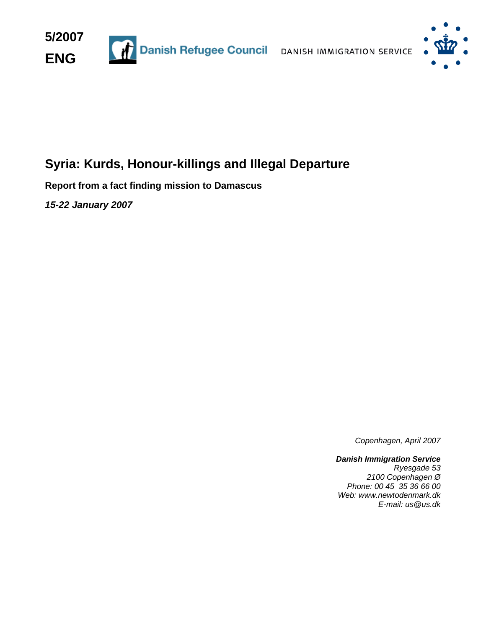



# **Syria: Kurds, Honour-killings and Illegal Departure**

**Report from a fact finding mission to Damascus** 

*15-22 January 2007* 

*Copenhagen, April 2007*

*Danish Immigration Service Ryesgade 53 2100 Copenhagen Ø Phone: 00 45 35 36 66 00 Web: www.newtodenmark.dk E-mail: us@us.dk*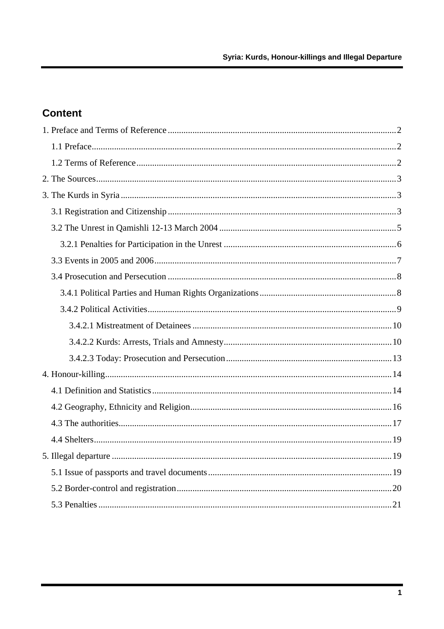# **Content**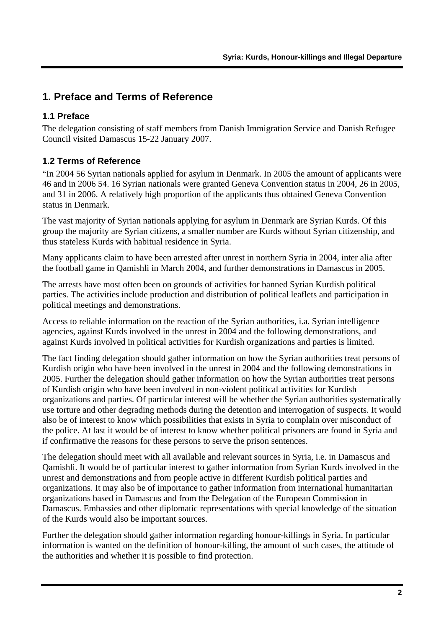# <span id="page-2-0"></span>**1. Preface and Terms of Reference**

# **1.1 Preface**

The delegation consisting of staff members from Danish Immigration Service and Danish Refugee Council visited Damascus 15-22 January 2007.

# **1.2 Terms of Reference**

"In 2004 56 Syrian nationals applied for asylum in Denmark. In 2005 the amount of applicants were 46 and in 2006 54. 16 Syrian nationals were granted Geneva Convention status in 2004, 26 in 2005, and 31 in 2006. A relatively high proportion of the applicants thus obtained Geneva Convention status in Denmark.

The vast majority of Syrian nationals applying for asylum in Denmark are Syrian Kurds. Of this group the majority are Syrian citizens, a smaller number are Kurds without Syrian citizenship, and thus stateless Kurds with habitual residence in Syria.

Many applicants claim to have been arrested after unrest in northern Syria in 2004, inter alia after the football game in Qamishli in March 2004, and further demonstrations in Damascus in 2005.

The arrests have most often been on grounds of activities for banned Syrian Kurdish political parties. The activities include production and distribution of political leaflets and participation in political meetings and demonstrations.

Access to reliable information on the reaction of the Syrian authorities, i.a. Syrian intelligence agencies, against Kurds involved in the unrest in 2004 and the following demonstrations, and against Kurds involved in political activities for Kurdish organizations and parties is limited.

The fact finding delegation should gather information on how the Syrian authorities treat persons of Kurdish origin who have been involved in the unrest in 2004 and the following demonstrations in 2005. Further the delegation should gather information on how the Syrian authorities treat persons of Kurdish origin who have been involved in non-violent political activities for Kurdish organizations and parties. Of particular interest will be whether the Syrian authorities systematically use torture and other degrading methods during the detention and interrogation of suspects. It would also be of interest to know which possibilities that exists in Syria to complain over misconduct of the police. At last it would be of interest to know whether political prisoners are found in Syria and if confirmative the reasons for these persons to serve the prison sentences.

The delegation should meet with all available and relevant sources in Syria, i.e. in Damascus and Qamishli. It would be of particular interest to gather information from Syrian Kurds involved in the unrest and demonstrations and from people active in different Kurdish political parties and organizations. It may also be of importance to gather information from international humanitarian organizations based in Damascus and from the Delegation of the European Commission in Damascus. Embassies and other diplomatic representations with special knowledge of the situation of the Kurds would also be important sources.

Further the delegation should gather information regarding honour-killings in Syria. In particular information is wanted on the definition of honour-killing, the amount of such cases, the attitude of the authorities and whether it is possible to find protection.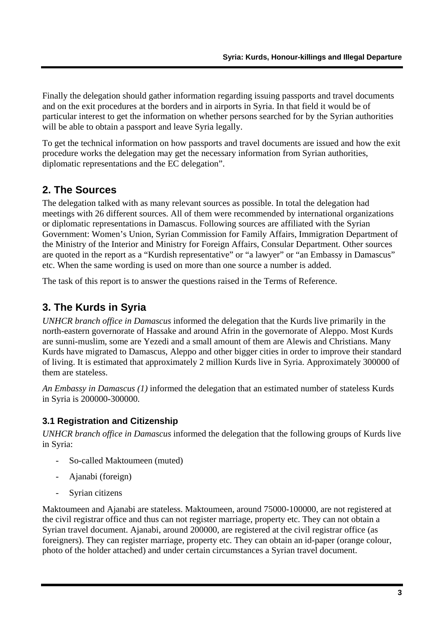<span id="page-3-0"></span>Finally the delegation should gather information regarding issuing passports and travel documents and on the exit procedures at the borders and in airports in Syria. In that field it would be of particular interest to get the information on whether persons searched for by the Syrian authorities will be able to obtain a passport and leave Syria legally.

To get the technical information on how passports and travel documents are issued and how the exit procedure works the delegation may get the necessary information from Syrian authorities, diplomatic representations and the EC delegation".

# **2. The Sources**

The delegation talked with as many relevant sources as possible. In total the delegation had meetings with 26 different sources. All of them were recommended by international organizations or diplomatic representations in Damascus. Following sources are affiliated with the Syrian Government: Women's Union, Syrian Commission for Family Affairs, Immigration Department of the Ministry of the Interior and Ministry for Foreign Affairs, Consular Department. Other sources are quoted in the report as a "Kurdish representative" or "a lawyer" or "an Embassy in Damascus" etc. When the same wording is used on more than one source a number is added.

The task of this report is to answer the questions raised in the Terms of Reference.

# **3. The Kurds in Syria**

*UNHCR branch office in Damascus* informed the delegation that the Kurds live primarily in the north-eastern governorate of Hassake and around Afrin in the governorate of Aleppo. Most Kurds are sunni-muslim, some are Yezedi and a small amount of them are Alewis and Christians. Many Kurds have migrated to Damascus, Aleppo and other bigger cities in order to improve their standard of living. It is estimated that approximately 2 million Kurds live in Syria. Approximately 300000 of them are stateless.

*An Embassy in Damascus (1)* informed the delegation that an estimated number of stateless Kurds in Syria is 200000-300000.

# **3.1 Registration and Citizenship**

*UNHCR branch office in Damascus* informed the delegation that the following groups of Kurds live in Syria:

- So-called Maktoumeen (muted)
- Ajanabi (foreign)
- Syrian citizens

Maktoumeen and Ajanabi are stateless. Maktoumeen, around 75000-100000, are not registered at the civil registrar office and thus can not register marriage, property etc. They can not obtain a Syrian travel document. Ajanabi, around 200000, are registered at the civil registrar office (as foreigners). They can register marriage, property etc. They can obtain an id-paper (orange colour, photo of the holder attached) and under certain circumstances a Syrian travel document.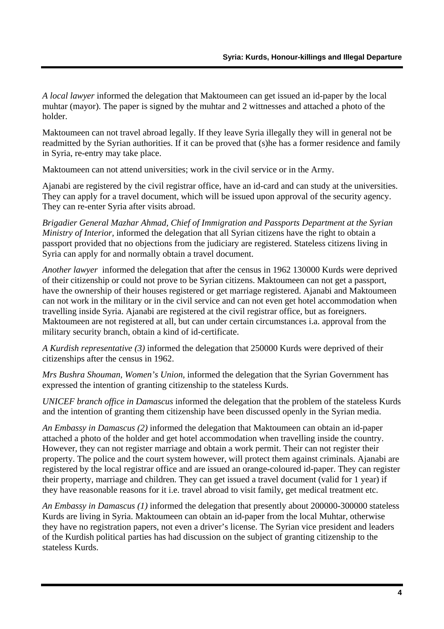*A local lawyer* informed the delegation that Maktoumeen can get issued an id-paper by the local muhtar (mayor). The paper is signed by the muhtar and 2 wittnesses and attached a photo of the holder.

Maktoumeen can not travel abroad legally. If they leave Syria illegally they will in general not be readmitted by the Syrian authorities. If it can be proved that (s)he has a former residence and family in Syria, re-entry may take place.

Maktoumeen can not attend universities; work in the civil service or in the Army.

Ajanabi are registered by the civil registrar office, have an id-card and can study at the universities. They can apply for a travel document, which will be issued upon approval of the security agency. They can re-enter Syria after visits abroad.

*Brigadier General Mazhar Ahmad, Chief of Immigration and Passports Department at the Syrian Ministry of Interior*, informed the delegation that all Syrian citizens have the right to obtain a passport provided that no objections from the judiciary are registered. Stateless citizens living in Syria can apply for and normally obtain a travel document.

*Another lawyer* informed the delegation that after the census in 1962 130000 Kurds were deprived of their citizenship or could not prove to be Syrian citizens. Maktoumeen can not get a passport, have the ownership of their houses registered or get marriage registered. Ajanabi and Maktoumeen can not work in the military or in the civil service and can not even get hotel accommodation when travelling inside Syria. Ajanabi are registered at the civil registrar office, but as foreigners. Maktoumeen are not registered at all, but can under certain circumstances i.a. approval from the military security branch, obtain a kind of id-certificate.

*A Kurdish representative (3)* informed the delegation that 250000 Kurds were deprived of their citizenships after the census in 1962.

*Mrs Bushra Shouman, Women's Union,* informed the delegation that the Syrian Government has expressed the intention of granting citizenship to the stateless Kurds.

*UNICEF branch office in Damascus* informed the delegation that the problem of the stateless Kurds and the intention of granting them citizenship have been discussed openly in the Syrian media.

*An Embassy in Damascus (2)* informed the delegation that Maktoumeen can obtain an id-paper attached a photo of the holder and get hotel accommodation when travelling inside the country. However, they can not register marriage and obtain a work permit. Their can not register their property. The police and the court system however, will protect them against criminals. Ajanabi are registered by the local registrar office and are issued an orange-coloured id-paper. They can register their property, marriage and children. They can get issued a travel document (valid for 1 year) if they have reasonable reasons for it i.e. travel abroad to visit family, get medical treatment etc.

*An Embassy in Damascus (1)* informed the delegation that presently about 200000-300000 stateless Kurds are living in Syria. Maktoumeen can obtain an id-paper from the local Muhtar, otherwise they have no registration papers, not even a driver's license. The Syrian vice president and leaders of the Kurdish political parties has had discussion on the subject of granting citizenship to the stateless Kurds.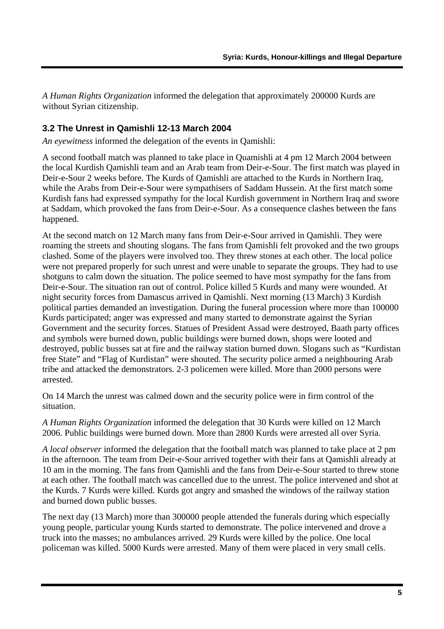<span id="page-5-0"></span>*A Human Rights Organization* informed the delegation that approximately 200000 Kurds are without Syrian citizenship.

#### **3.2 The Unrest in Qamishli 12-13 March 2004**

*An eyewitness* informed the delegation of the events in Qamishli:

A second football match was planned to take place in Quamishli at 4 pm 12 March 2004 between the local Kurdish Qamishli team and an Arab team from Deir-e-Sour. The first match was played in Deir-e-Sour 2 weeks before. The Kurds of Qamishli are attached to the Kurds in Northern Iraq, while the Arabs from Deir-e-Sour were sympathisers of Saddam Hussein. At the first match some Kurdish fans had expressed sympathy for the local Kurdish government in Northern Iraq and swore at Saddam, which provoked the fans from Deir-e-Sour. As a consequence clashes between the fans happened.

At the second match on 12 March many fans from Deir-e-Sour arrived in Qamishli. They were roaming the streets and shouting slogans. The fans from Qamishli felt provoked and the two groups clashed. Some of the players were involved too. They threw stones at each other. The local police were not prepared properly for such unrest and were unable to separate the groups. They had to use shotguns to calm down the situation. The police seemed to have most sympathy for the fans from Deir-e-Sour. The situation ran out of control. Police killed 5 Kurds and many were wounded. At night security forces from Damascus arrived in Qamishli. Next morning (13 March) 3 Kurdish political parties demanded an investigation. During the funeral procession where more than 100000 Kurds participated; anger was expressed and many started to demonstrate against the Syrian Government and the security forces. Statues of President Assad were destroyed, Baath party offices and symbols were burned down, public buildings were burned down, shops were looted and destroyed, public busses sat at fire and the railway station burned down. Slogans such as "Kurdistan free State" and "Flag of Kurdistan" were shouted. The security police armed a neighbouring Arab tribe and attacked the demonstrators. 2-3 policemen were killed. More than 2000 persons were arrested.

On 14 March the unrest was calmed down and the security police were in firm control of the situation.

*A Human Rights Organization* informed the delegation that 30 Kurds were killed on 12 March 2006. Public buildings were burned down. More than 2800 Kurds were arrested all over Syria.

*A local observer* informed the delegation that the football match was planned to take place at 2 pm in the afternoon. The team from Deir-e-Sour arrived together with their fans at Qamishli already at 10 am in the morning. The fans from Qamishli and the fans from Deir-e-Sour started to threw stone at each other. The football match was cancelled due to the unrest. The police intervened and shot at the Kurds. 7 Kurds were killed. Kurds got angry and smashed the windows of the railway station and burned down public busses.

The next day (13 March) more than 300000 people attended the funerals during which especially young people, particular young Kurds started to demonstrate. The police intervened and drove a truck into the masses; no ambulances arrived. 29 Kurds were killed by the police. One local policeman was killed. 5000 Kurds were arrested. Many of them were placed in very small cells.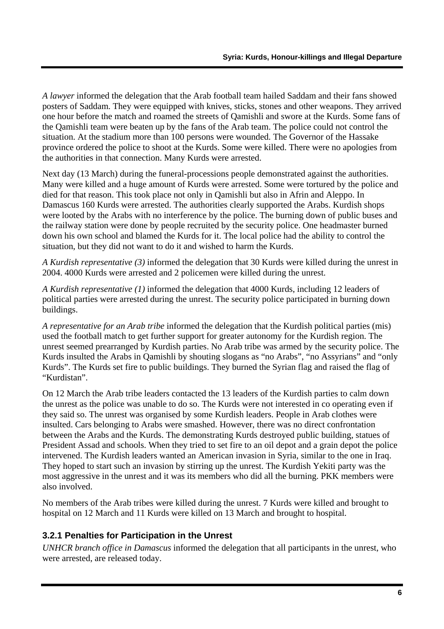<span id="page-6-0"></span>*A lawyer* informed the delegation that the Arab football team hailed Saddam and their fans showed posters of Saddam. They were equipped with knives, sticks, stones and other weapons. They arrived one hour before the match and roamed the streets of Qamishli and swore at the Kurds. Some fans of the Qamishli team were beaten up by the fans of the Arab team. The police could not control the situation. At the stadium more than 100 persons were wounded. The Governor of the Hassake province ordered the police to shoot at the Kurds. Some were killed. There were no apologies from the authorities in that connection. Many Kurds were arrested.

Next day (13 March) during the funeral-processions people demonstrated against the authorities. Many were killed and a huge amount of Kurds were arrested. Some were tortured by the police and died for that reason. This took place not only in Qamishli but also in Afrin and Aleppo. In Damascus 160 Kurds were arrested. The authorities clearly supported the Arabs. Kurdish shops were looted by the Arabs with no interference by the police. The burning down of public buses and the railway station were done by people recruited by the security police. One headmaster burned down his own school and blamed the Kurds for it. The local police had the ability to control the situation, but they did not want to do it and wished to harm the Kurds.

*A Kurdish representative (3)* informed the delegation that 30 Kurds were killed during the unrest in 2004. 4000 Kurds were arrested and 2 policemen were killed during the unrest.

*A Kurdish representative (1)* informed the delegation that 4000 Kurds, including 12 leaders of political parties were arrested during the unrest. The security police participated in burning down buildings.

*A representative for an Arab tribe* informed the delegation that the Kurdish political parties (mis) used the football match to get further support for greater autonomy for the Kurdish region. The unrest seemed prearranged by Kurdish parties. No Arab tribe was armed by the security police. The Kurds insulted the Arabs in Qamishli by shouting slogans as "no Arabs", "no Assyrians" and "only Kurds". The Kurds set fire to public buildings. They burned the Syrian flag and raised the flag of "Kurdistan".

On 12 March the Arab tribe leaders contacted the 13 leaders of the Kurdish parties to calm down the unrest as the police was unable to do so. The Kurds were not interested in co operating even if they said so. The unrest was organised by some Kurdish leaders. People in Arab clothes were insulted. Cars belonging to Arabs were smashed. However, there was no direct confrontation between the Arabs and the Kurds. The demonstrating Kurds destroyed public building, statues of President Assad and schools. When they tried to set fire to an oil depot and a grain depot the police intervened. The Kurdish leaders wanted an American invasion in Syria, similar to the one in Iraq. They hoped to start such an invasion by stirring up the unrest. The Kurdish Yekiti party was the most aggressive in the unrest and it was its members who did all the burning. PKK members were also involved.

No members of the Arab tribes were killed during the unrest. 7 Kurds were killed and brought to hospital on 12 March and 11 Kurds were killed on 13 March and brought to hospital.

# **3.2.1 Penalties for Participation in the Unrest**

*UNHCR branch office in Damascus* informed the delegation that all participants in the unrest, who were arrested, are released today.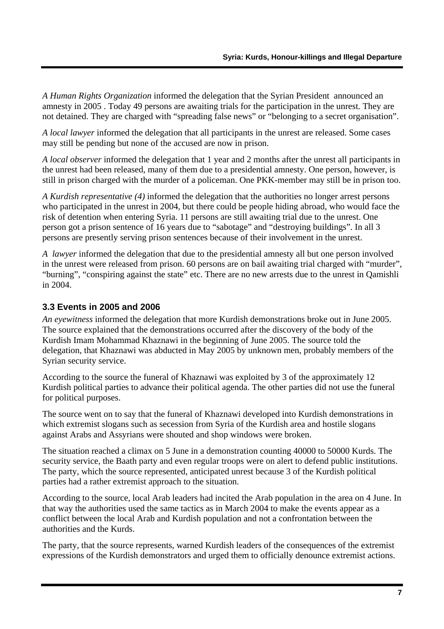<span id="page-7-0"></span>*A Human Rights Organization* informed the delegation that the Syrian President announced an amnesty in 2005 . Today 49 persons are awaiting trials for the participation in the unrest. They are not detained. They are charged with "spreading false news" or "belonging to a secret organisation".

*A local lawyer* informed the delegation that all participants in the unrest are released. Some cases may still be pending but none of the accused are now in prison.

*A local observer* informed the delegation that 1 year and 2 months after the unrest all participants in the unrest had been released, many of them due to a presidential amnesty. One person, however, is still in prison charged with the murder of a policeman. One PKK-member may still be in prison too.

*A Kurdish representative (4)* informed the delegation that the authorities no longer arrest persons who participated in the unrest in 2004, but there could be people hiding abroad, who would face the risk of detention when entering Syria. 11 persons are still awaiting trial due to the unrest. One person got a prison sentence of 16 years due to "sabotage" and "destroying buildings". In all 3 persons are presently serving prison sentences because of their involvement in the unrest.

*A lawyer* informed the delegation that due to the presidential amnesty all but one person involved in the unrest were released from prison. 60 persons are on bail awaiting trial charged with "murder", "burning", "conspiring against the state" etc. There are no new arrests due to the unrest in Qamishli in 2004.

#### **3.3 Events in 2005 and 2006**

*An eyewitness* informed the delegation that more Kurdish demonstrations broke out in June 2005. The source explained that the demonstrations occurred after the discovery of the body of the Kurdish Imam Mohammad Khaznawi in the beginning of June 2005. The source told the delegation, that Khaznawi was abducted in May 2005 by unknown men, probably members of the Syrian security service.

According to the source the funeral of Khaznawi was exploited by 3 of the approximately 12 Kurdish political parties to advance their political agenda. The other parties did not use the funeral for political purposes.

The source went on to say that the funeral of Khaznawi developed into Kurdish demonstrations in which extremist slogans such as secession from Syria of the Kurdish area and hostile slogans against Arabs and Assyrians were shouted and shop windows were broken.

The situation reached a climax on 5 June in a demonstration counting 40000 to 50000 Kurds. The security service, the Baath party and even regular troops were on alert to defend public institutions. The party, which the source represented, anticipated unrest because 3 of the Kurdish political parties had a rather extremist approach to the situation.

According to the source*,* local Arab leaders had incited the Arab population in the area on 4 June. In that way the authorities used the same tactics as in March 2004 to make the events appear as a conflict between the local Arab and Kurdish population and not a confrontation between the authorities and the Kurds.

The party, that the source represents, warned Kurdish leaders of the consequences of the extremist expressions of the Kurdish demonstrators and urged them to officially denounce extremist actions.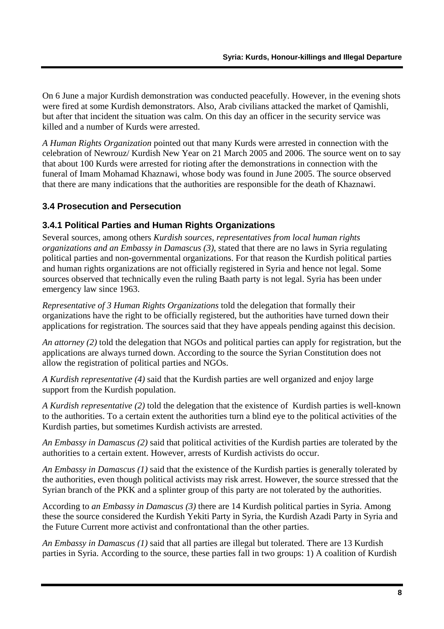<span id="page-8-0"></span>On 6 June a major Kurdish demonstration was conducted peacefully. However, in the evening shots were fired at some Kurdish demonstrators. Also, Arab civilians attacked the market of Qamishli, but after that incident the situation was calm. On this day an officer in the security service was killed and a number of Kurds were arrested.

*A Human Rights Organization* pointed out that many Kurds were arrested in connection with the celebration of Newrouz/ Kurdish New Year on 21 March 2005 and 2006. The source went on to say that about 100 Kurds were arrested for rioting after the demonstrations in connection with the funeral of Imam Mohamad Khaznawi, whose body was found in June 2005. The source observed that there are many indications that the authorities are responsible for the death of Khaznawi.

# **3.4 Prosecution and Persecution**

# **3.4.1 Political Parties and Human Rights Organizations**

Several sources, among others *Kurdish sources, representatives from local human rights organizations and an Embassy in Damascus (3)*, stated that there are no laws in Syria regulating political parties and non-governmental organizations. For that reason the Kurdish political parties and human rights organizations are not officially registered in Syria and hence not legal. Some sources observed that technically even the ruling Baath party is not legal. Syria has been under emergency law since 1963.

*Representative of 3 Human Rights Organizations* told the delegation that formally their organizations have the right to be officially registered, but the authorities have turned down their applications for registration. The sources said that they have appeals pending against this decision.

*An attorney (2)* told the delegation that NGOs and political parties can apply for registration, but the applications are always turned down. According to the source the Syrian Constitution does not allow the registration of political parties and NGOs.

*A Kurdish representative (4)* said that the Kurdish parties are well organized and enjoy large support from the Kurdish population.

*A Kurdish representative (2)* told the delegation that the existence of Kurdish parties is well-known to the authorities. To a certain extent the authorities turn a blind eye to the political activities of the Kurdish parties, but sometimes Kurdish activists are arrested.

*An Embassy in Damascus (2)* said that political activities of the Kurdish parties are tolerated by the authorities to a certain extent. However, arrests of Kurdish activists do occur.

*An Embassy in Damascus (1)* said that the existence of the Kurdish parties is generally tolerated by the authorities, even though political activists may risk arrest. However, the source stressed that the Syrian branch of the PKK and a splinter group of this party are not tolerated by the authorities.

According to *an Embassy in Damascus (3)* there are 14 Kurdish political parties in Syria. Among these the source considered the Kurdish Yekiti Party in Syria, the Kurdish Azadi Party in Syria and the Future Current more activist and confrontational than the other parties.

*An Embassy in Damascus (1)* said that all parties are illegal but tolerated. There are 13 Kurdish parties in Syria. According to the source*,* these parties fall in two groups: 1) A coalition of Kurdish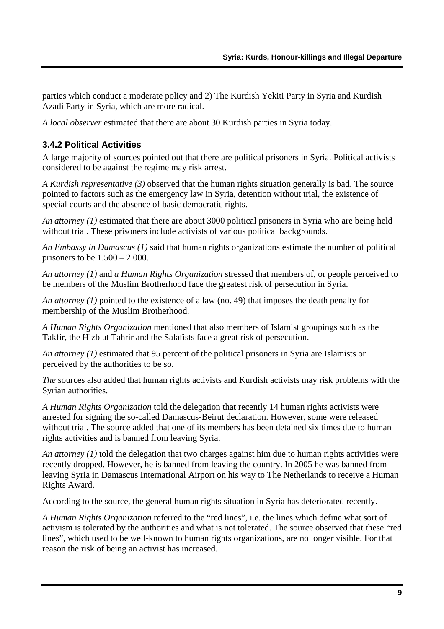<span id="page-9-0"></span>parties which conduct a moderate policy and 2) The Kurdish Yekiti Party in Syria and Kurdish Azadi Party in Syria, which are more radical.

*A local observer* estimated that there are about 30 Kurdish parties in Syria today.

#### **3.4.2 Political Activities**

A large majority of sources pointed out that there are political prisoners in Syria. Political activists considered to be against the regime may risk arrest.

*A Kurdish representative (3)* observed that the human rights situation generally is bad. The source pointed to factors such as the emergency law in Syria, detention without trial, the existence of special courts and the absence of basic democratic rights.

*An attorney (1)* estimated that there are about 3000 political prisoners in Syria who are being held without trial. These prisoners include activists of various political backgrounds.

*An Embassy in Damascus (1)* said that human rights organizations estimate the number of political prisoners to be  $1.500 - 2.000$ .

*An attorney (1)* and *a Human Rights Organization* stressed that members of, or people perceived to be members of the Muslim Brotherhood face the greatest risk of persecution in Syria.

*An attorney (1)* pointed to the existence of a law (no. 49) that imposes the death penalty for membership of the Muslim Brotherhood.

*A Human Rights Organization* mentioned that also members of Islamist groupings such as the Takfir, the Hizb ut Tahrir and the Salafists face a great risk of persecution.

*An attorney (1)* estimated that 95 percent of the political prisoners in Syria are Islamists or perceived by the authorities to be so.

*The* sources also added that human rights activists and Kurdish activists may risk problems with the Syrian authorities.

*A Human Rights Organization* told the delegation that recently 14 human rights activists were arrested for signing the so-called Damascus-Beirut declaration. However, some were released without trial. The source added that one of its members has been detained six times due to human rights activities and is banned from leaving Syria.

*An attorney (1)* told the delegation that two charges against him due to human rights activities were recently dropped. However, he is banned from leaving the country. In 2005 he was banned from leaving Syria in Damascus International Airport on his way to The Netherlands to receive a Human Rights Award.

According to the source*,* the general human rights situation in Syria has deteriorated recently.

*A Human Rights Organization* referred to the "red lines", i.e. the lines which define what sort of activism is tolerated by the authorities and what is not tolerated. The source observed that these "red lines", which used to be well-known to human rights organizations, are no longer visible. For that reason the risk of being an activist has increased.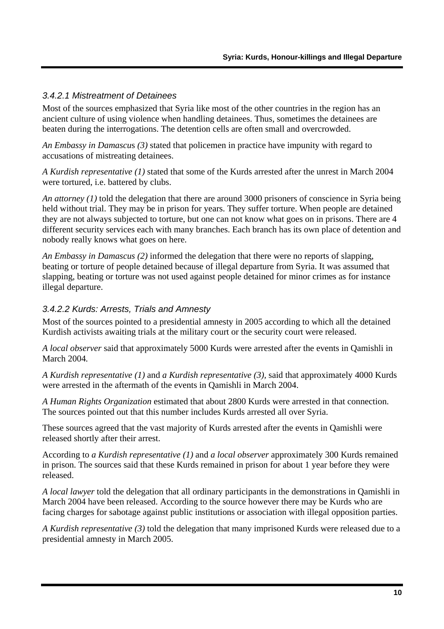#### <span id="page-10-0"></span>*3.4.2.1 Mistreatment of Detainees*

Most of the sources emphasized that Syria like most of the other countries in the region has an ancient culture of using violence when handling detainees. Thus, sometimes the detainees are beaten during the interrogations. The detention cells are often small and overcrowded.

*An Embassy in Damascu*s *(3)* stated that policemen in practice have impunity with regard to accusations of mistreating detainees.

*A Kurdish representative (1)* stated that some of the Kurds arrested after the unrest in March 2004 were tortured, i.e. battered by clubs.

*An attorney (1)* told the delegation that there are around 3000 prisoners of conscience in Syria being held without trial. They may be in prison for years. They suffer torture. When people are detained they are not always subjected to torture, but one can not know what goes on in prisons. There are 4 different security services each with many branches. Each branch has its own place of detention and nobody really knows what goes on here.

*An Embassy in Damascus (2)* informed the delegation that there were no reports of slapping, beating or torture of people detained because of illegal departure from Syria. It was assumed that slapping, beating or torture was not used against people detained for minor crimes as for instance illegal departure.

#### *3.4.2.2 Kurds: Arrests, Trials and Amnesty*

Most of the sources pointed to a presidential amnesty in 2005 according to which all the detained Kurdish activists awaiting trials at the military court or the security court were released.

*A local observer* said that approximately 5000 Kurds were arrested after the events in Qamishli in March 2004*.*

*A Kurdish representative (1)* and *a Kurdish representative (3),* said that approximately 4000 Kurds were arrested in the aftermath of the events in Qamishli in March 2004.

*A Human Rights Organization* estimated that about 2800 Kurds were arrested in that connection. The sources pointed out that this number includes Kurds arrested all over Syria.

These sources agreed that the vast majority of Kurds arrested after the events in Qamishli were released shortly after their arrest.

According to *a Kurdish representative (1)* and *a local observer* approximately 300 Kurds remained in prison. The sources said that these Kurds remained in prison for about 1 year before they were released.

*A local lawyer* told the delegation that all ordinary participants in the demonstrations in Qamishli in March 2004 have been released. According to the source however there may be Kurds who are facing charges for sabotage against public institutions or association with illegal opposition parties.

*A Kurdish representative (3)* told the delegation that many imprisoned Kurds were released due to a presidential amnesty in March 2005.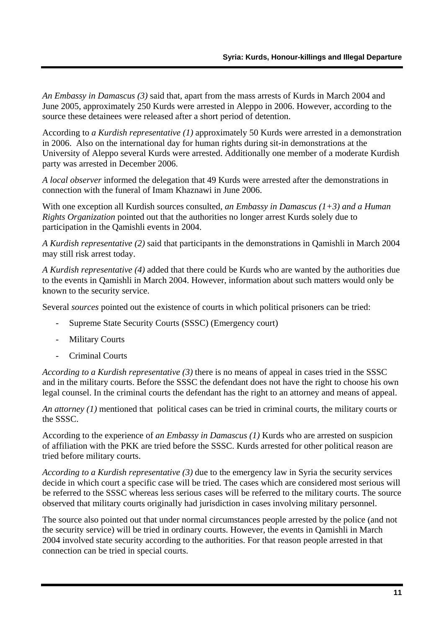*An Embassy in Damascus (3)* said that, apart from the mass arrests of Kurds in March 2004 and June 2005, approximately 250 Kurds were arrested in Aleppo in 2006. However, according to the source these detainees were released after a short period of detention.

According to *a Kurdish representative (1)* approximately 50 Kurds were arrested in a demonstration in 2006. Also on the international day for human rights during sit-in demonstrations at the University of Aleppo several Kurds were arrested. Additionally one member of a moderate Kurdish party was arrested in December 2006.

*A local observer* informed the delegation that 49 Kurds were arrested after the demonstrations in connection with the funeral of Imam Khaznawi in June 2006.

With one exception all Kurdish sources consulted*, an Embassy in Damascus (1+3) and a Human Rights Organization* pointed out that the authorities no longer arrest Kurds solely due to participation in the Qamishli events in 2004.

*A Kurdish representative (2)* said that participants in the demonstrations in Qamishli in March 2004 may still risk arrest today.

*A Kurdish representative (4)* added that there could be Kurds who are wanted by the authorities due to the events in Qamishli in March 2004. However, information about such matters would only be known to the security service.

Several *sources* pointed out the existence of courts in which political prisoners can be tried:

- Supreme State Security Courts (SSSC) (Emergency court)
- Military Courts
- Criminal Courts

*According to a Kurdish representative (3)* there is no means of appeal in cases tried in the SSSC and in the military courts. Before the SSSC the defendant does not have the right to choose his own legal counsel. In the criminal courts the defendant has the right to an attorney and means of appeal.

*An attorney (1)* mentioned that political cases can be tried in criminal courts, the military courts or the SSSC.

According to the experience of *an Embassy in Damascus (1)* Kurds who are arrested on suspicion of affiliation with the PKK are tried before the SSSC. Kurds arrested for other political reason are tried before military courts.

*According to a Kurdish representative (3)* due to the emergency law in Syria the security services decide in which court a specific case will be tried. The cases which are considered most serious will be referred to the SSSC whereas less serious cases will be referred to the military courts. The source observed that military courts originally had jurisdiction in cases involving military personnel.

The source also pointed out that under normal circumstances people arrested by the police (and not the security service) will be tried in ordinary courts. However, the events in Qamishli in March 2004 involved state security according to the authorities. For that reason people arrested in that connection can be tried in special courts.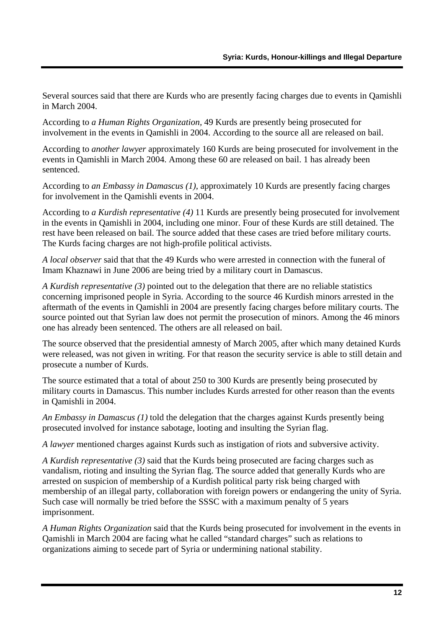Several sources said that there are Kurds who are presently facing charges due to events in Qamishli in March 2004.

According to *a Human Rights Organization,* 49 Kurds are presently being prosecuted for involvement in the events in Qamishli in 2004. According to the source all are released on bail.

According to *another lawyer* approximately 160 Kurds are being prosecuted for involvement in the events in Qamishli in March 2004. Among these 60 are released on bail. 1 has already been sentenced.

According to *an Embassy in Damascus (1)*, approximately 10 Kurds are presently facing charges for involvement in the Qamishli events in 2004.

According to *a Kurdish representative (4)* 11 Kurds are presently being prosecuted for involvement in the events in Qamishli in 2004, including one minor. Four of these Kurds are still detained. The rest have been released on bail. The source added that these cases are tried before military courts. The Kurds facing charges are not high-profile political activists.

*A local observer* said that that the 49 Kurds who were arrested in connection with the funeral of Imam Khaznawi in June 2006 are being tried by a military court in Damascus.

*A Kurdish representative (3)* pointed out to the delegation that there are no reliable statistics concerning imprisoned people in Syria. According to the source 46 Kurdish minors arrested in the aftermath of the events in Qamishli in 2004 are presently facing charges before military courts. The source pointed out that Syrian law does not permit the prosecution of minors. Among the 46 minors one has already been sentenced. The others are all released on bail.

The source observed that the presidential amnesty of March 2005, after which many detained Kurds were released, was not given in writing. For that reason the security service is able to still detain and prosecute a number of Kurds.

The source estimated that a total of about 250 to 300 Kurds are presently being prosecuted by military courts in Damascus. This number includes Kurds arrested for other reason than the events in Qamishli in 2004.

*An Embassy in Damascus (1)* told the delegation that the charges against Kurds presently being prosecuted involved for instance sabotage, looting and insulting the Syrian flag.

*A lawyer* mentioned charges against Kurds such as instigation of riots and subversive activity.

*A Kurdish representative (3)* said that the Kurds being prosecuted are facing charges such as vandalism, rioting and insulting the Syrian flag. The source added that generally Kurds who are arrested on suspicion of membership of a Kurdish political party risk being charged with membership of an illegal party, collaboration with foreign powers or endangering the unity of Syria. Such case will normally be tried before the SSSC with a maximum penalty of 5 years imprisonment.

*A Human Rights Organization* said that the Kurds being prosecuted for involvement in the events in Qamishli in March 2004 are facing what he called "standard charges" such as relations to organizations aiming to secede part of Syria or undermining national stability.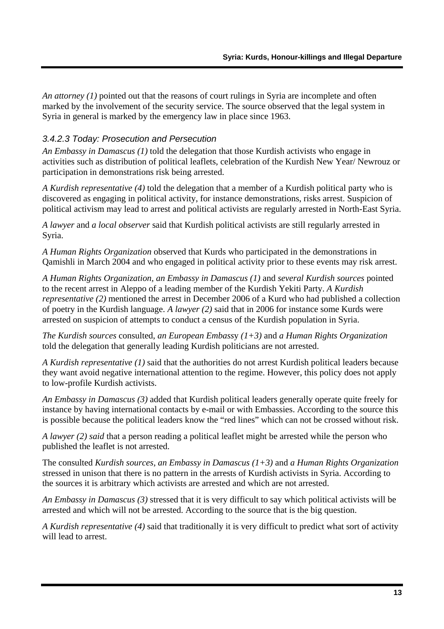<span id="page-13-0"></span>*An attorney (1)* pointed out that the reasons of court rulings in Syria are incomplete and often marked by the involvement of the security service. The source observed that the legal system in Syria in general is marked by the emergency law in place since 1963.

#### *3.4.2.3 Today: Prosecution and Persecution*

*An Embassy in Damascus (1)* told the delegation that those Kurdish activists who engage in activities such as distribution of political leaflets, celebration of the Kurdish New Year/ Newrouz or participation in demonstrations risk being arrested.

*A Kurdish representative (4)* told the delegation that a member of a Kurdish political party who is discovered as engaging in political activity, for instance demonstrations, risks arrest. Suspicion of political activism may lead to arrest and political activists are regularly arrested in North-East Syria.

*A lawyer* and *a local observer* said that Kurdish political activists are still regularly arrested in Syria.

*A Human Rights Organization* observed that Kurds who participated in the demonstrations in Qamishli in March 2004 and who engaged in political activity prior to these events may risk arrest.

*A Human Rights Organization, an Embassy in Damascus (1)* and *several Kurdish sources* pointed to the recent arrest in Aleppo of a leading member of the Kurdish Yekiti Party. *A Kurdish representative (2)* mentioned the arrest in December 2006 of a Kurd who had published a collection of poetry in the Kurdish language. *A lawyer (2)* said that in 2006 for instance some Kurds were arrested on suspicion of attempts to conduct a census of the Kurdish population in Syria.

*The Kurdish sources* consulted, *an European Embass*y *(1+3)* and *a Human Rights Organization*  told the delegation that generally leading Kurdish politicians are not arrested.

*A Kurdish representative (1)* said that the authorities do not arrest Kurdish political leaders because they want avoid negative international attention to the regime. However, this policy does not apply to low-profile Kurdish activists.

*An Embassy in Damascus (3)* added that Kurdish political leaders generally operate quite freely for instance by having international contacts by e-mail or with Embassies. According to the source this is possible because the political leaders know the "red lines" which can not be crossed without risk.

*A lawyer (2) said* that a person reading a political leaflet might be arrested while the person who published the leaflet is not arrested.

The consulted *Kurdish sources*, *an Embassy in Damascus (1+3)* and *a Human Rights Organization*  stressed in unison that there is no pattern in the arrests of Kurdish activists in Syria. According to the sources it is arbitrary which activists are arrested and which are not arrested.

*An Embassy in Damascus (3)* stressed that it is very difficult to say which political activists will be arrested and which will not be arrested. According to the source that is the big question.

*A Kurdish representative (4)* said that traditionally it is very difficult to predict what sort of activity will lead to arrest.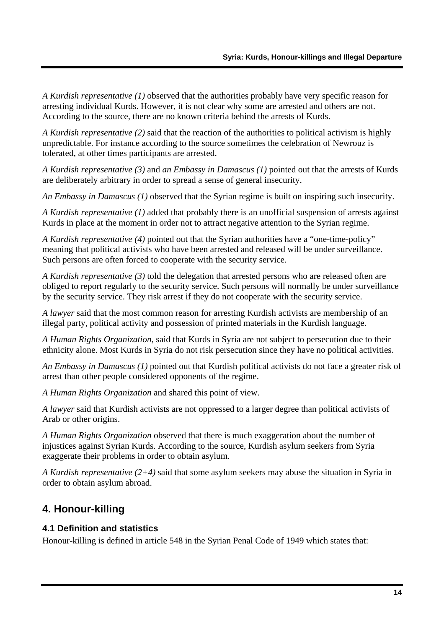<span id="page-14-0"></span>*A Kurdish representative (1)* observed that the authorities probably have very specific reason for arresting individual Kurds. However, it is not clear why some are arrested and others are not. According to the source, there are no known criteria behind the arrests of Kurds.

*A Kurdish representative (2)* said that the reaction of the authorities to political activism is highly unpredictable. For instance according to the source sometimes the celebration of Newrouz is tolerated, at other times participants are arrested.

*A Kurdish representative (3)* and *an Embassy in Damascus (1)* pointed out that the arrests of Kurds are deliberately arbitrary in order to spread a sense of general insecurity.

*An Embassy in Damascus (1)* observed that the Syrian regime is built on inspiring such insecurity.

*A Kurdish representative (1)* added that probably there is an unofficial suspension of arrests against Kurds in place at the moment in order not to attract negative attention to the Syrian regime.

*A Kurdish representative (4)* pointed out that the Syrian authorities have a "one-time-policy" meaning that political activists who have been arrested and released will be under surveillance. Such persons are often forced to cooperate with the security service.

*A Kurdish representative (3)* told the delegation that arrested persons who are released often are obliged to report regularly to the security service. Such persons will normally be under surveillance by the security service. They risk arrest if they do not cooperate with the security service.

*A lawyer* said that the most common reason for arresting Kurdish activists are membership of an illegal party, political activity and possession of printed materials in the Kurdish language.

*A Human Rights Organization,* said that Kurds in Syria are not subject to persecution due to their ethnicity alone. Most Kurds in Syria do not risk persecution since they have no political activities.

*An Embassy in Damascus (1)* pointed out that Kurdish political activists do not face a greater risk of arrest than other people considered opponents of the regime.

*A Human Rights Organization* and shared this point of view.

*A lawyer* said that Kurdish activists are not oppressed to a larger degree than political activists of Arab or other origins.

*A Human Rights Organization* observed that there is much exaggeration about the number of injustices against Syrian Kurds. According to the source, Kurdish asylum seekers from Syria exaggerate their problems in order to obtain asylum.

*A Kurdish representative (2+4)* said that some asylum seekers may abuse the situation in Syria in order to obtain asylum abroad.

# **4. Honour-killing**

#### **4.1 Definition and statistics**

Honour-killing is defined in article 548 in the Syrian Penal Code of 1949 which states that: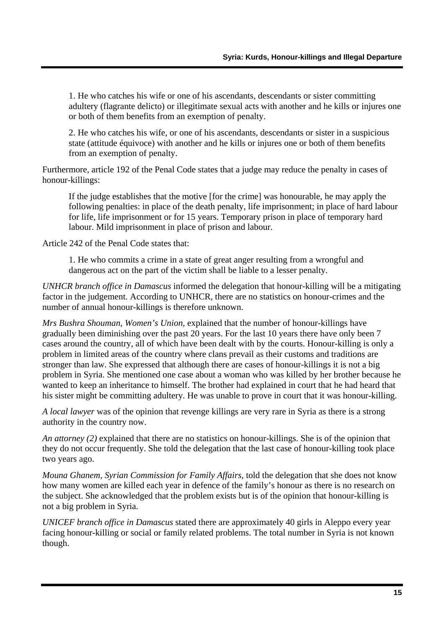1. He who catches his wife or one of his ascendants, descendants or sister committing adultery (flagrante delicto) or illegitimate sexual acts with another and he kills or injures one or both of them benefits from an exemption of penalty.

2. He who catches his wife, or one of his ascendants, descendants or sister in a suspicious state (attitude équivoce) with another and he kills or injures one or both of them benefits from an exemption of penalty.

Furthermore, article 192 of the Penal Code states that a judge may reduce the penalty in cases of honour-killings:

If the judge establishes that the motive [for the crime] was honourable, he may apply the following penalties: in place of the death penalty, life imprisonment; in place of hard labour for life, life imprisonment or for 15 years. Temporary prison in place of temporary hard labour. Mild imprisonment in place of prison and labour.

Article 242 of the Penal Code states that:

1. He who commits a crime in a state of great anger resulting from a wrongful and dangerous act on the part of the victim shall be liable to a lesser penalty.

*UNHCR branch office in Damascus* informed the delegation that honour-killing will be a mitigating factor in the judgement. According to UNHCR, there are no statistics on honour-crimes and the number of annual honour-killings is therefore unknown.

*Mrs Bushra Shouman, Women's Union,* explained that the number of honour-killings have gradually been diminishing over the past 20 years. For the last 10 years there have only been 7 cases around the country, all of which have been dealt with by the courts. Honour-killing is only a problem in limited areas of the country where clans prevail as their customs and traditions are stronger than law. She expressed that although there are cases of honour-killings it is not a big problem in Syria. She mentioned one case about a woman who was killed by her brother because he wanted to keep an inheritance to himself. The brother had explained in court that he had heard that his sister might be committing adultery. He was unable to prove in court that it was honour-killing.

*A local lawyer* was of the opinion that revenge killings are very rare in Syria as there is a strong authority in the country now.

*An attorney (2)* explained that there are no statistics on honour-killings. She is of the opinion that they do not occur frequently. She told the delegation that the last case of honour-killing took place two years ago.

*Mouna Ghanem, Syrian Commission for Family Affairs,* told the delegation that she does not know how many women are killed each year in defence of the family's honour as there is no research on the subject. She acknowledged that the problem exists but is of the opinion that honour-killing is not a big problem in Syria.

*UNICEF branch office in Damascus* stated there are approximately 40 girls in Aleppo every year facing honour-killing or social or family related problems. The total number in Syria is not known though.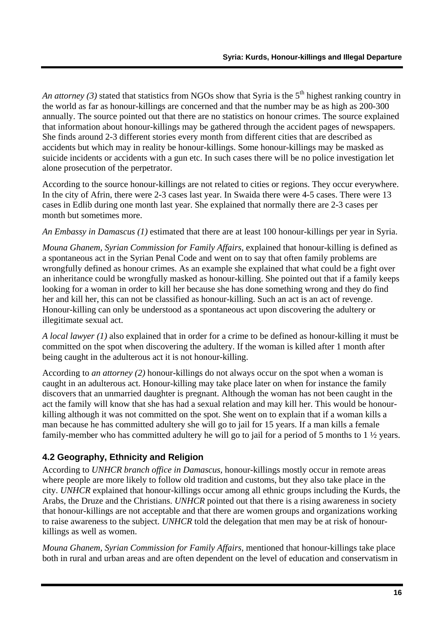<span id="page-16-0"></span>*An attorney (3)* stated that statistics from NGOs show that Syria is the  $5<sup>th</sup>$  highest ranking country in the world as far as honour-killings are concerned and that the number may be as high as 200-300 annually. The source pointed out that there are no statistics on honour crimes. The source explained that information about honour-killings may be gathered through the accident pages of newspapers. She finds around 2-3 different stories every month from different cities that are described as accidents but which may in reality be honour-killings. Some honour-killings may be masked as suicide incidents or accidents with a gun etc. In such cases there will be no police investigation let alone prosecution of the perpetrator.

According to the source honour-killings are not related to cities or regions. They occur everywhere. In the city of Afrin, there were 2-3 cases last year. In Swaida there were 4-5 cases. There were 13 cases in Edlib during one month last year. She explained that normally there are 2-3 cases per month but sometimes more.

*An Embassy in Damascus (1)* estimated that there are at least 100 honour-killings per year in Syria.

*Mouna Ghanem, Syrian Commission for Family Affairs,* explained that honour-killing is defined as a spontaneous act in the Syrian Penal Code and went on to say that often family problems are wrongfully defined as honour crimes. As an example she explained that what could be a fight over an inheritance could be wrongfully masked as honour-killing. She pointed out that if a family keeps looking for a woman in order to kill her because she has done something wrong and they do find her and kill her, this can not be classified as honour-killing. Such an act is an act of revenge. Honour-killing can only be understood as a spontaneous act upon discovering the adultery or illegitimate sexual act.

*A local lawyer (1)* also explained that in order for a crime to be defined as honour-killing it must be committed on the spot when discovering the adultery. If the woman is killed after 1 month after being caught in the adulterous act it is not honour-killing.

According to *an attorney (2)* honour-killings do not always occur on the spot when a woman is caught in an adulterous act. Honour-killing may take place later on when for instance the family discovers that an unmarried daughter is pregnant. Although the woman has not been caught in the act the family will know that she has had a sexual relation and may kill her. This would be honourkilling although it was not committed on the spot. She went on to explain that if a woman kills a man because he has committed adultery she will go to jail for 15 years. If a man kills a female family-member who has committed adultery he will go to jail for a period of 5 months to 1 ½ years.

# **4.2 Geography, Ethnicity and Religion**

According to *UNHCR branch office in Damascus,* honour-killings mostly occur in remote areas where people are more likely to follow old tradition and customs, but they also take place in the city. *UNHCR* explained that honour-killings occur among all ethnic groups including the Kurds, the Arabs, the Druze and the Christians. *UNHCR* pointed out that there is a rising awareness in society that honour-killings are not acceptable and that there are women groups and organizations working to raise awareness to the subject. *UNHCR* told the delegation that men may be at risk of honourkillings as well as women.

*Mouna Ghanem, Syrian Commission for Family Affairs,* mentioned that honour-killings take place both in rural and urban areas and are often dependent on the level of education and conservatism in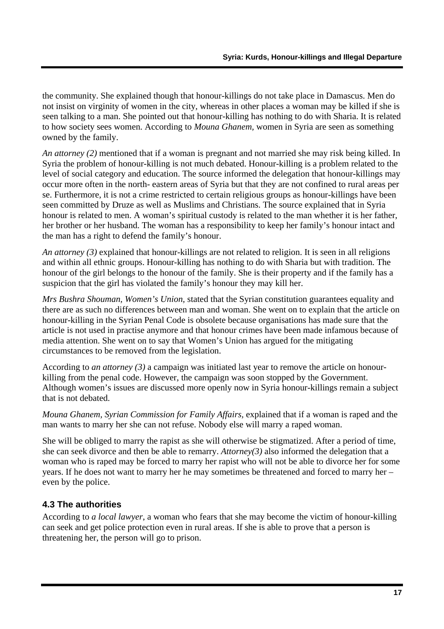<span id="page-17-0"></span>the community. She explained though that honour-killings do not take place in Damascus. Men do not insist on virginity of women in the city, whereas in other places a woman may be killed if she is seen talking to a man. She pointed out that honour-killing has nothing to do with Sharia. It is related to how society sees women. According to *Mouna Ghanem,* women in Syria are seen as something owned by the family.

*An attorney (2)* mentioned that if a woman is pregnant and not married she may risk being killed. In Syria the problem of honour-killing is not much debated. Honour-killing is a problem related to the level of social category and education. The source informed the delegation that honour-killings may occur more often in the north- eastern areas of Syria but that they are not confined to rural areas per se. Furthermore, it is not a crime restricted to certain religious groups as honour-killings have been seen committed by Druze as well as Muslims and Christians. The source explained that in Syria honour is related to men. A woman's spiritual custody is related to the man whether it is her father, her brother or her husband. The woman has a responsibility to keep her family's honour intact and the man has a right to defend the family's honour.

*An attorney (3)* explained that honour-killings are not related to religion. It is seen in all religions and within all ethnic groups. Honour-killing has nothing to do with Sharia but with tradition. The honour of the girl belongs to the honour of the family. She is their property and if the family has a suspicion that the girl has violated the family's honour they may kill her.

*Mrs Bushra Shouman, Women's Union,* stated that the Syrian constitution guarantees equality and there are as such no differences between man and woman. She went on to explain that the article on honour-killing in the Syrian Penal Code is obsolete because organisations has made sure that the article is not used in practise anymore and that honour crimes have been made infamous because of media attention. She went on to say that Women's Union has argued for the mitigating circumstances to be removed from the legislation.

According to *an attorney (3)* a campaign was initiated last year to remove the article on honourkilling from the penal code. However, the campaign was soon stopped by the Government. Although women's issues are discussed more openly now in Syria honour-killings remain a subject that is not debated.

*Mouna Ghanem, Syrian Commission for Family Affairs,* explained that if a woman is raped and the man wants to marry her she can not refuse. Nobody else will marry a raped woman.

She will be obliged to marry the rapist as she will otherwise be stigmatized. After a period of time, she can seek divorce and then be able to remarry. *Attorney(3)* also informed the delegation that a woman who is raped may be forced to marry her rapist who will not be able to divorce her for some years. If he does not want to marry her he may sometimes be threatened and forced to marry her – even by the police.

# **4.3 The authorities**

According to *a local lawyer*, a woman who fears that she may become the victim of honour-killing can seek and get police protection even in rural areas. If she is able to prove that a person is threatening her, the person will go to prison.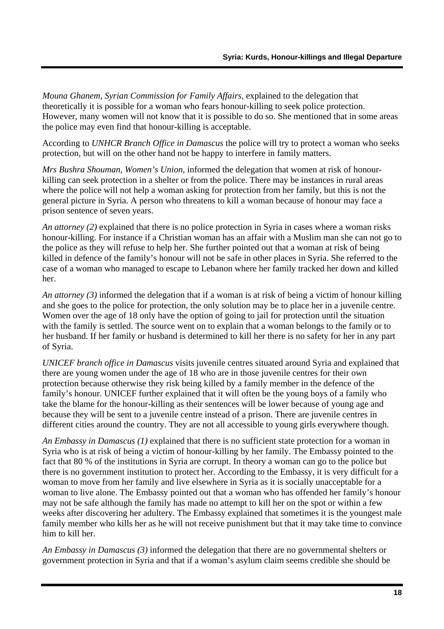*Mouna Ghanem, Syrian Commission for Family Affairs,* explained to the delegation that theoretically it is possible for a woman who fears honour-killing to seek police protection. However, many women will not know that it is possible to do so. She mentioned that in some areas the police may even find that honour-killing is acceptable.

According to *UNHCR Branch Office in Damascus* the police will try to protect a woman who seeks protection, but will on the other hand not be happy to interfere in family matters.

*Mrs Bushra Shouman, Women's Union,* informed the delegation that women at risk of honourkilling can seek protection in a shelter or from the police. There may be instances in rural areas where the police will not help a woman asking for protection from her family, but this is not the general picture in Syria. A person who threatens to kill a woman because of honour may face a prison sentence of seven years.

*An attorney (2)* explained that there is no police protection in Syria in cases where a woman risks honour-killing. For instance if a Christian woman has an affair with a Muslim man she can not go to the police as they will refuse to help her. She further pointed out that a woman at risk of being killed in defence of the family's honour will not be safe in other places in Syria. She referred to the case of a woman who managed to escape to Lebanon where her family tracked her down and killed her.

*An attorney (3)* informed the delegation that if a woman is at risk of being a victim of honour killing and she goes to the police for protection, the only solution may be to place her in a juvenile centre. Women over the age of 18 only have the option of going to jail for protection until the situation with the family is settled. The source went on to explain that a woman belongs to the family or to her husband. If her family or husband is determined to kill her there is no safety for her in any part of Syria.

*UNICEF branch office in Damascus* visits juvenile centres situated around Syria and explained that there are young women under the age of 18 who are in those juvenile centres for their own protection because otherwise they risk being killed by a family member in the defence of the family's honour. UNICEF further explained that it will often be the young boys of a family who take the blame for the honour-killing as their sentences will be lower because of young age and because they will be sent to a juvenile centre instead of a prison. There are juvenile centres in different cities around the country. They are not all accessible to young girls everywhere though.

*An Embassy in Damascus (1)* explained that there is no sufficient state protection for a woman in Syria who is at risk of being a victim of honour-killing by her family. The Embassy pointed to the fact that 80 % of the institutions in Syria are corrupt. In theory a woman can go to the police but there is no government institution to protect her. According to the Embassy, it is very difficult for a woman to move from her family and live elsewhere in Syria as it is socially unacceptable for a woman to live alone. The Embassy pointed out that a woman who has offended her family's honour may not be safe although the family has made no attempt to kill her on the spot or within a few weeks after discovering her adultery. The Embassy explained that sometimes it is the youngest male family member who kills her as he will not receive punishment but that it may take time to convince him to kill her.

*An Embassy in Damascus (3)* informed the delegation that there are no governmental shelters or government protection in Syria and that if a woman's asylum claim seems credible she should be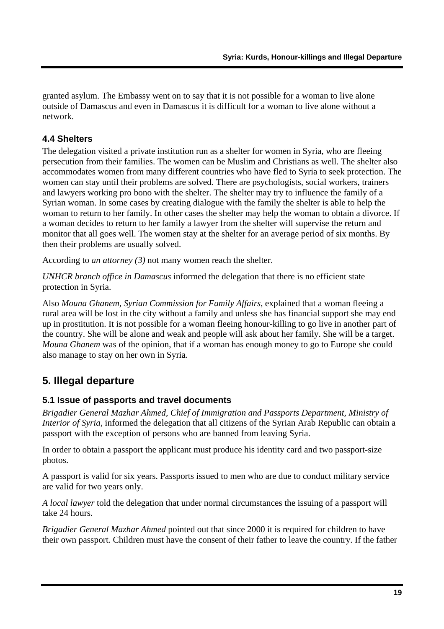<span id="page-19-0"></span>granted asylum. The Embassy went on to say that it is not possible for a woman to live alone outside of Damascus and even in Damascus it is difficult for a woman to live alone without a network.

#### **4.4 Shelters**

The delegation visited a private institution run as a shelter for women in Syria, who are fleeing persecution from their families. The women can be Muslim and Christians as well. The shelter also accommodates women from many different countries who have fled to Syria to seek protection. The women can stay until their problems are solved. There are psychologists, social workers, trainers and lawyers working pro bono with the shelter. The shelter may try to influence the family of a Syrian woman. In some cases by creating dialogue with the family the shelter is able to help the woman to return to her family. In other cases the shelter may help the woman to obtain a divorce. If a woman decides to return to her family a lawyer from the shelter will supervise the return and monitor that all goes well. The women stay at the shelter for an average period of six months. By then their problems are usually solved.

According to *an attorney (3)* not many women reach the shelter.

*UNHCR branch office in Damascus* informed the delegation that there is no efficient state protection in Syria.

Also *Mouna Ghanem, Syrian Commission for Family Affairs,* explained that a woman fleeing a rural area will be lost in the city without a family and unless she has financial support she may end up in prostitution. It is not possible for a woman fleeing honour-killing to go live in another part of the country. She will be alone and weak and people will ask about her family. She will be a target. *Mouna Ghanem* was of the opinion, that if a woman has enough money to go to Europe she could also manage to stay on her own in Syria.

# **5. Illegal departure**

#### **5.1 Issue of passports and travel documents**

*Brigadier General Mazhar Ahmed, Chief of Immigration and Passports Department, Ministry of Interior of Syria,* informed the delegation that all citizens of the Syrian Arab Republic can obtain a passport with the exception of persons who are banned from leaving Syria.

In order to obtain a passport the applicant must produce his identity card and two passport-size photos.

A passport is valid for six years. Passports issued to men who are due to conduct military service are valid for two years only.

*A local lawyer* told the delegation that under normal circumstances the issuing of a passport will take 24 hours.

*Brigadier General Mazhar Ahmed* pointed out that since 2000 it is required for children to have their own passport. Children must have the consent of their father to leave the country. If the father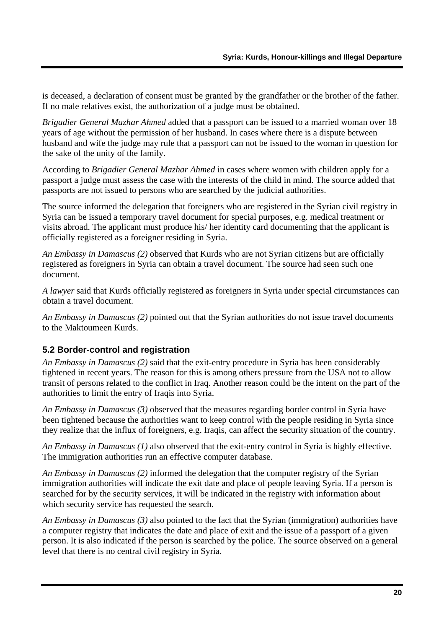<span id="page-20-0"></span>is deceased, a declaration of consent must be granted by the grandfather or the brother of the father. If no male relatives exist, the authorization of a judge must be obtained.

*Brigadier General Mazhar Ahmed* added that a passport can be issued to a married woman over 18 years of age without the permission of her husband. In cases where there is a dispute between husband and wife the judge may rule that a passport can not be issued to the woman in question for the sake of the unity of the family.

According to *Brigadier General Mazhar Ahmed* in cases where women with children apply for a passport a judge must assess the case with the interests of the child in mind. The source added that passports are not issued to persons who are searched by the judicial authorities.

The source informed the delegation that foreigners who are registered in the Syrian civil registry in Syria can be issued a temporary travel document for special purposes, e.g. medical treatment or visits abroad. The applicant must produce his/ her identity card documenting that the applicant is officially registered as a foreigner residing in Syria.

*An Embassy in Damascus (2)* observed that Kurds who are not Syrian citizens but are officially registered as foreigners in Syria can obtain a travel document. The source had seen such one document.

*A lawyer* said that Kurds officially registered as foreigners in Syria under special circumstances can obtain a travel document.

*An Embassy in Damascus (2)* pointed out that the Syrian authorities do not issue travel documents to the Maktoumeen Kurds.

# **5.2 Border-control and registration**

*An Embassy in Damascus (2)* said that the exit-entry procedure in Syria has been considerably tightened in recent years. The reason for this is among others pressure from the USA not to allow transit of persons related to the conflict in Iraq. Another reason could be the intent on the part of the authorities to limit the entry of Iraqis into Syria.

*An Embassy in Damascus (3)* observed that the measures regarding border control in Syria have been tightened because the authorities want to keep control with the people residing in Syria since they realize that the influx of foreigners, e.g. Iraqis, can affect the security situation of the country.

*An Embassy in Damascus (1)* also observed that the exit-entry control in Syria is highly effective. The immigration authorities run an effective computer database.

*An Embassy in Damascus (2)* informed the delegation that the computer registry of the Syrian immigration authorities will indicate the exit date and place of people leaving Syria. If a person is searched for by the security services, it will be indicated in the registry with information about which security service has requested the search.

*An Embassy in Damascus (3)* also pointed to the fact that the Syrian (immigration) authorities have a computer registry that indicates the date and place of exit and the issue of a passport of a given person. It is also indicated if the person is searched by the police. The source observed on a general level that there is no central civil registry in Syria.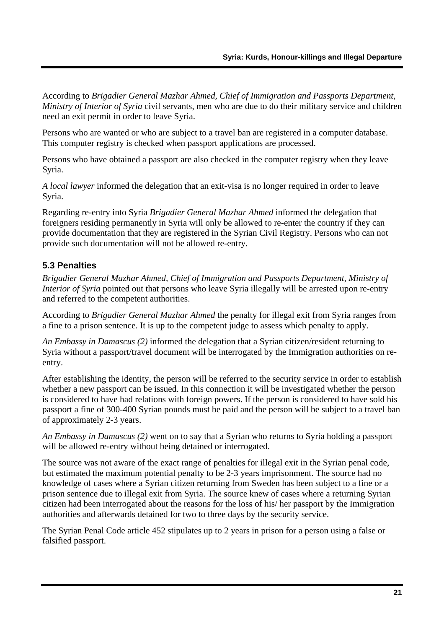<span id="page-21-0"></span>According to *Brigadier General Mazhar Ahmed, Chief of Immigration and Passports Department, Ministry of Interior of Syria* civil servants, men who are due to do their military service and children need an exit permit in order to leave Syria.

Persons who are wanted or who are subject to a travel ban are registered in a computer database. This computer registry is checked when passport applications are processed.

Persons who have obtained a passport are also checked in the computer registry when they leave Syria.

*A local lawyer* informed the delegation that an exit-visa is no longer required in order to leave Syria.

Regarding re-entry into Syria *Brigadier General Mazhar Ahmed* informed the delegation that foreigners residing permanently in Syria will only be allowed to re-enter the country if they can provide documentation that they are registered in the Syrian Civil Registry. Persons who can not provide such documentation will not be allowed re-entry.

# **5.3 Penalties**

*Brigadier General Mazhar Ahmed, Chief of Immigration and Passports Department, Ministry of Interior of Syria* pointed out that persons who leave Syria illegally will be arrested upon re-entry and referred to the competent authorities.

According to *Brigadier General Mazhar Ahmed* the penalty for illegal exit from Syria ranges from a fine to a prison sentence. It is up to the competent judge to assess which penalty to apply.

*An Embassy in Damascus (2)* informed the delegation that a Syrian citizen/resident returning to Syria without a passport/travel document will be interrogated by the Immigration authorities on reentry.

After establishing the identity, the person will be referred to the security service in order to establish whether a new passport can be issued. In this connection it will be investigated whether the person is considered to have had relations with foreign powers. If the person is considered to have sold his passport a fine of 300-400 Syrian pounds must be paid and the person will be subject to a travel ban of approximately 2-3 years.

*An Embassy in Damascus (2)* went on to say that a Syrian who returns to Syria holding a passport will be allowed re-entry without being detained or interrogated.

The source was not aware of the exact range of penalties for illegal exit in the Syrian penal code, but estimated the maximum potential penalty to be 2-3 years imprisonment. The source had no knowledge of cases where a Syrian citizen returning from Sweden has been subject to a fine or a prison sentence due to illegal exit from Syria. The source knew of cases where a returning Syrian citizen had been interrogated about the reasons for the loss of his/ her passport by the Immigration authorities and afterwards detained for two to three days by the security service.

The Syrian Penal Code article 452 stipulates up to 2 years in prison for a person using a false or falsified passport.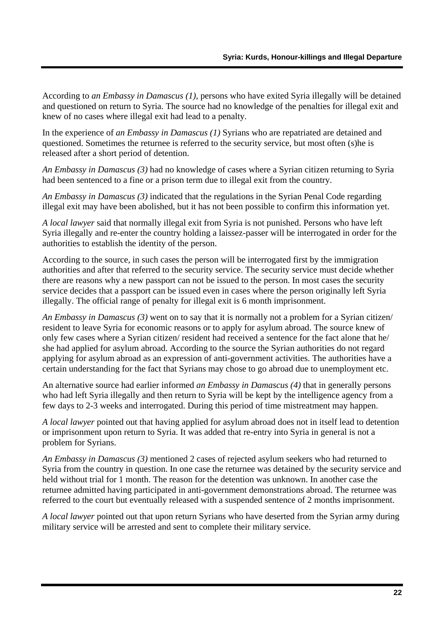According to *an Embassy in Damascus (1),* persons who have exited Syria illegally will be detained and questioned on return to Syria. The source had no knowledge of the penalties for illegal exit and knew of no cases where illegal exit had lead to a penalty.

In the experience of *an Embassy in Damascus (1)* Syrians who are repatriated are detained and questioned. Sometimes the returnee is referred to the security service, but most often (s)he is released after a short period of detention.

*An Embassy in Damascus (3)* had no knowledge of cases where a Syrian citizen returning to Syria had been sentenced to a fine or a prison term due to illegal exit from the country.

*An Embassy in Damascus (3)* indicated that the regulations in the Syrian Penal Code regarding illegal exit may have been abolished, but it has not been possible to confirm this information yet.

*A local lawyer* said that normally illegal exit from Syria is not punished. Persons who have left Syria illegally and re-enter the country holding a laissez-passer will be interrogated in order for the authorities to establish the identity of the person.

According to the source*,* in such cases the person will be interrogated first by the immigration authorities and after that referred to the security service. The security service must decide whether there are reasons why a new passport can not be issued to the person. In most cases the security service decides that a passport can be issued even in cases where the person originally left Syria illegally. The official range of penalty for illegal exit is 6 month imprisonment.

*An Embassy in Damascus (3)* went on to say that it is normally not a problem for a Syrian citizen/ resident to leave Syria for economic reasons or to apply for asylum abroad. The source knew of only few cases where a Syrian citizen/ resident had received a sentence for the fact alone that he/ she had applied for asylum abroad. According to the source the Syrian authorities do not regard applying for asylum abroad as an expression of anti-government activities. The authorities have a certain understanding for the fact that Syrians may chose to go abroad due to unemployment etc.

An alternative source had earlier informed *an Embassy in Damascus (4)* that in generally persons who had left Syria illegally and then return to Syria will be kept by the intelligence agency from a few days to 2-3 weeks and interrogated. During this period of time mistreatment may happen.

*A local lawyer* pointed out that having applied for asylum abroad does not in itself lead to detention or imprisonment upon return to Syria. It was added that re-entry into Syria in general is not a problem for Syrians.

*An Embassy in Damascus (3)* mentioned 2 cases of rejected asylum seekers who had returned to Syria from the country in question. In one case the returnee was detained by the security service and held without trial for 1 month. The reason for the detention was unknown. In another case the returnee admitted having participated in anti-government demonstrations abroad. The returnee was referred to the court but eventually released with a suspended sentence of 2 months imprisonment.

*A local lawyer* pointed out that upon return Syrians who have deserted from the Syrian army during military service will be arrested and sent to complete their military service.